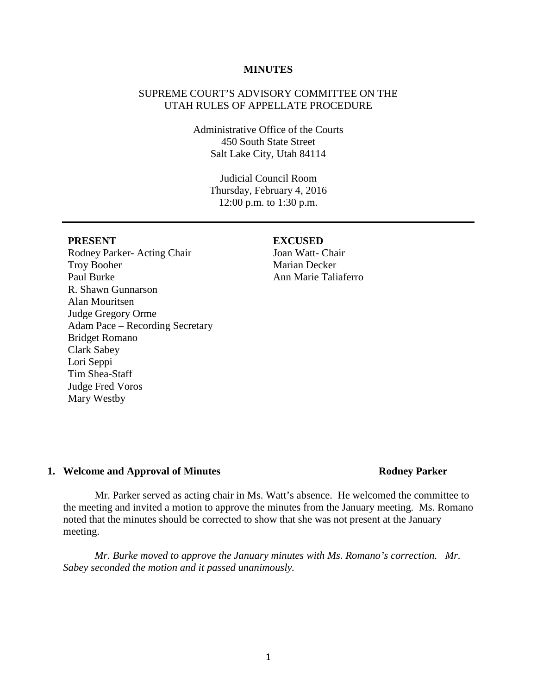# **MINUTES**

# SUPREME COURT'S ADVISORY COMMITTEE ON THE UTAH RULES OF APPELLATE PROCEDURE

Administrative Office of the Courts 450 South State Street Salt Lake City, Utah 84114

> Judicial Council Room Thursday, February 4, 2016 12:00 p.m. to 1:30 p.m.

Rodney Parker- Acting Chair Troy Booher Paul Burke R. Shawn Gunnarson Alan Mouritsen Judge Gregory Orme Adam Pace – Recording Secretary Bridget Romano Clark Sabey Lori Seppi Tim Shea-Staff Judge Fred Voros Mary Westby

#### **PRESENT EXCUSED**

# **1. Welcome and Approval of Minutes Rodney Parker**

Mr. Parker served as acting chair in Ms. Watt's absence. He welcomed the committee to the meeting and invited a motion to approve the minutes from the January meeting. Ms. Romano noted that the minutes should be corrected to show that she was not present at the January meeting.

*Mr. Burke moved to approve the January minutes with Ms. Romano's correction. Mr. Sabey seconded the motion and it passed unanimously.* 

# 1

Joan Watt- Chair Marian Decker Ann Marie Taliaferro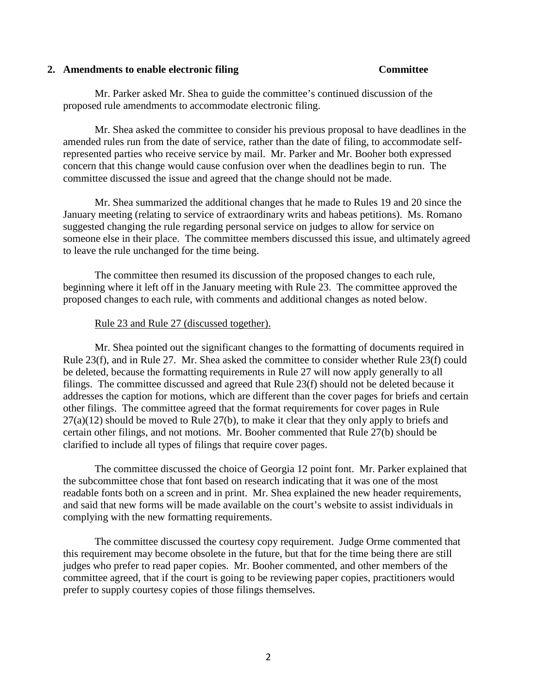# **2. Amendments to enable electronic filing Committee**

Mr. Parker asked Mr. Shea to guide the committee's continued discussion of the proposed rule amendments to accommodate electronic filing.

Mr. Shea asked the committee to consider his previous proposal to have deadlines in the amended rules run from the date of service, rather than the date of filing, to accommodate selfrepresented parties who receive service by mail. Mr. Parker and Mr. Booher both expressed concern that this change would cause confusion over when the deadlines begin to run. The committee discussed the issue and agreed that the change should not be made.

Mr. Shea summarized the additional changes that he made to Rules 19 and 20 since the January meeting (relating to service of extraordinary writs and habeas petitions). Ms. Romano suggested changing the rule regarding personal service on judges to allow for service on someone else in their place. The committee members discussed this issue, and ultimately agreed to leave the rule unchanged for the time being.

The committee then resumed its discussion of the proposed changes to each rule, beginning where it left off in the January meeting with Rule 23. The committee approved the proposed changes to each rule, with comments and additional changes as noted below.

# Rule 23 and Rule 27 (discussed together).

Mr. Shea pointed out the significant changes to the formatting of documents required in Rule 23(f), and in Rule 27. Mr. Shea asked the committee to consider whether Rule 23(f) could be deleted, because the formatting requirements in Rule 27 will now apply generally to all filings. The committee discussed and agreed that Rule 23(f) should not be deleted because it addresses the caption for motions, which are different than the cover pages for briefs and certain other filings. The committee agreed that the format requirements for cover pages in Rule  $27(a)(12)$  should be moved to Rule  $27(b)$ , to make it clear that they only apply to briefs and certain other filings, and not motions. Mr. Booher commented that Rule 27(b) should be clarified to include all types of filings that require cover pages.

The committee discussed the choice of Georgia 12 point font. Mr. Parker explained that the subcommittee chose that font based on research indicating that it was one of the most readable fonts both on a screen and in print. Mr. Shea explained the new header requirements, and said that new forms will be made available on the court's website to assist individuals in complying with the new formatting requirements.

The committee discussed the courtesy copy requirement. Judge Orme commented that this requirement may become obsolete in the future, but that for the time being there are still judges who prefer to read paper copies. Mr. Booher commented, and other members of the committee agreed, that if the court is going to be reviewing paper copies, practitioners would prefer to supply courtesy copies of those filings themselves.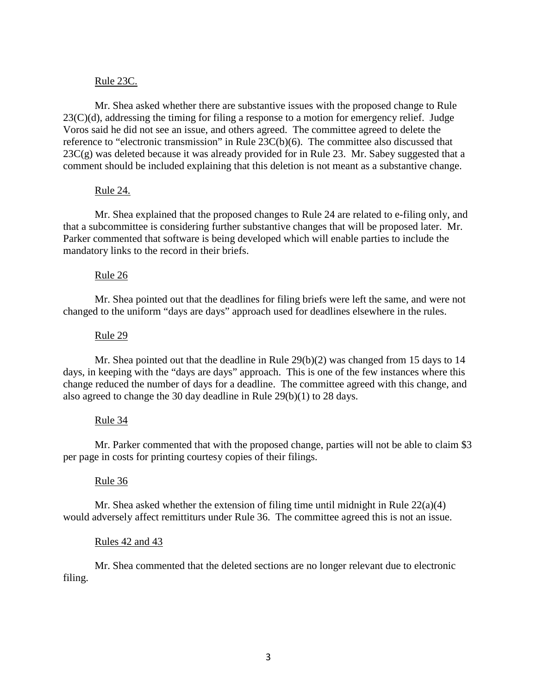# Rule 23C.

Mr. Shea asked whether there are substantive issues with the proposed change to Rule  $23(C)(d)$ , addressing the timing for filing a response to a motion for emergency relief. Judge Voros said he did not see an issue, and others agreed. The committee agreed to delete the reference to "electronic transmission" in Rule 23C(b)(6). The committee also discussed that  $23C(g)$  was deleted because it was already provided for in Rule 23. Mr. Sabey suggested that a comment should be included explaining that this deletion is not meant as a substantive change.

# Rule 24.

Mr. Shea explained that the proposed changes to Rule 24 are related to e-filing only, and that a subcommittee is considering further substantive changes that will be proposed later. Mr. Parker commented that software is being developed which will enable parties to include the mandatory links to the record in their briefs.

# Rule 26

Mr. Shea pointed out that the deadlines for filing briefs were left the same, and were not changed to the uniform "days are days" approach used for deadlines elsewhere in the rules.

### Rule 29

Mr. Shea pointed out that the deadline in Rule  $29(b)(2)$  was changed from 15 days to 14 days, in keeping with the "days are days" approach. This is one of the few instances where this change reduced the number of days for a deadline. The committee agreed with this change, and also agreed to change the 30 day deadline in Rule 29(b)(1) to 28 days.

### Rule 34

Mr. Parker commented that with the proposed change, parties will not be able to claim \$3 per page in costs for printing courtesy copies of their filings.

### Rule 36

Mr. Shea asked whether the extension of filing time until midnight in Rule 22(a)(4) would adversely affect remittiturs under Rule 36. The committee agreed this is not an issue.

### Rules 42 and 43

Mr. Shea commented that the deleted sections are no longer relevant due to electronic filing.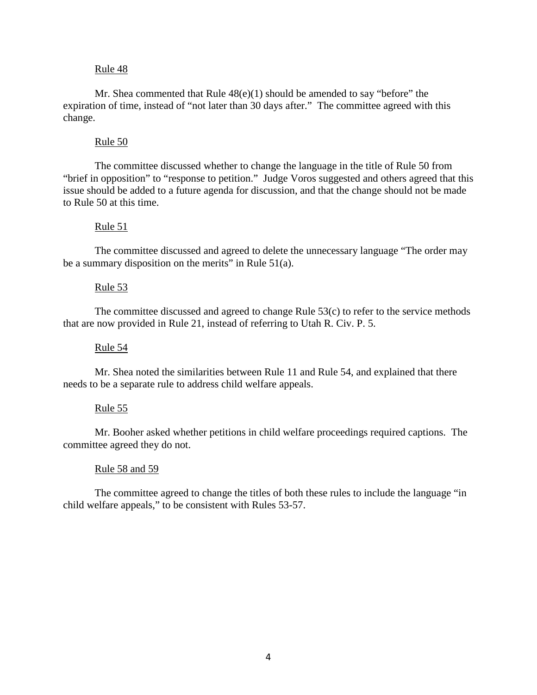# Rule 48

Mr. Shea commented that Rule  $48(e)(1)$  should be amended to say "before" the expiration of time, instead of "not later than 30 days after." The committee agreed with this change.

## Rule 50

The committee discussed whether to change the language in the title of Rule 50 from "brief in opposition" to "response to petition." Judge Voros suggested and others agreed that this issue should be added to a future agenda for discussion, and that the change should not be made to Rule 50 at this time.

# Rule  $51$

The committee discussed and agreed to delete the unnecessary language "The order may be a summary disposition on the merits" in Rule  $51(a)$ .

# Rule 53

The committee discussed and agreed to change Rule 53(c) to refer to the service methods that are now provided in Rule 21, instead of referring to Utah R. Civ. P. 5.

### Rule 54

Mr. Shea noted the similarities between Rule 11 and Rule 54, and explained that there needs to be a separate rule to address child welfare appeals.

### Rule 55

Mr. Booher asked whether petitions in child welfare proceedings required captions. The committee agreed they do not.

### Rule 58 and 59

The committee agreed to change the titles of both these rules to include the language "in child welfare appeals," to be consistent with Rules 53-57.